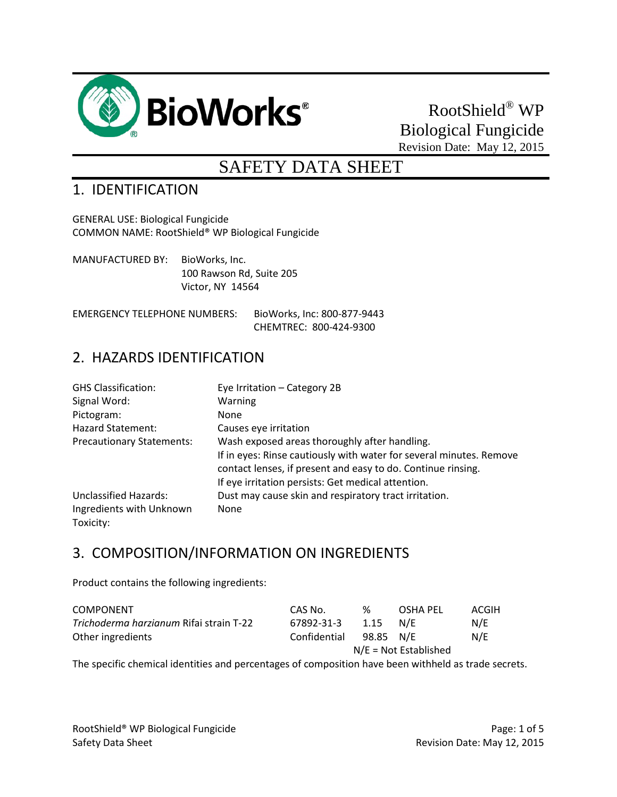

# RootShield® WP Biological Fungicide Revision Date: May 12, 2015

# SAFETY DATA SHEET

## 1. IDENTIFICATION

GENERAL USE: Biological Fungicide COMMON NAME: RootShield® WP Biological Fungicide

MANUFACTURED BY: BioWorks, Inc. 100 Rawson Rd, Suite 205 Victor, NY 14564

EMERGENCY TELEPHONE NUMBERS: BioWorks, Inc: 800-877-9443 CHEMTREC: 800-424-9300

### 2. HAZARDS IDENTIFICATION

| <b>GHS Classification:</b>       | Eye Irritation - Category 2B                                                                                                        |
|----------------------------------|-------------------------------------------------------------------------------------------------------------------------------------|
| Signal Word:                     | Warning                                                                                                                             |
| Pictogram:                       | <b>None</b>                                                                                                                         |
| <b>Hazard Statement:</b>         | Causes eye irritation                                                                                                               |
| <b>Precautionary Statements:</b> | Wash exposed areas thoroughly after handling.                                                                                       |
|                                  | If in eyes: Rinse cautiously with water for several minutes. Remove<br>contact lenses, if present and easy to do. Continue rinsing. |
|                                  | If eye irritation persists: Get medical attention.                                                                                  |
| <b>Unclassified Hazards:</b>     | Dust may cause skin and respiratory tract irritation.                                                                               |
| Ingredients with Unknown         | None                                                                                                                                |
| Toxicity:                        |                                                                                                                                     |

### 3. COMPOSITION/INFORMATION ON INGREDIENTS

Product contains the following ingredients:

| <b>COMPONENT</b>                        | CAS No.                 | %         | OSHA PFL | ACGIH |
|-----------------------------------------|-------------------------|-----------|----------|-------|
| Trichoderma harzianum Rifai strain T-22 | 67892-31-3              | 1.15      | N/F      | N/E   |
| Other ingredients                       | Confidential            | 98.85 N/E |          | N/E   |
|                                         | $N/E = Not$ Established |           |          |       |
|                                         |                         |           |          |       |

The specific chemical identities and percentages of composition have been withheld as trade secrets.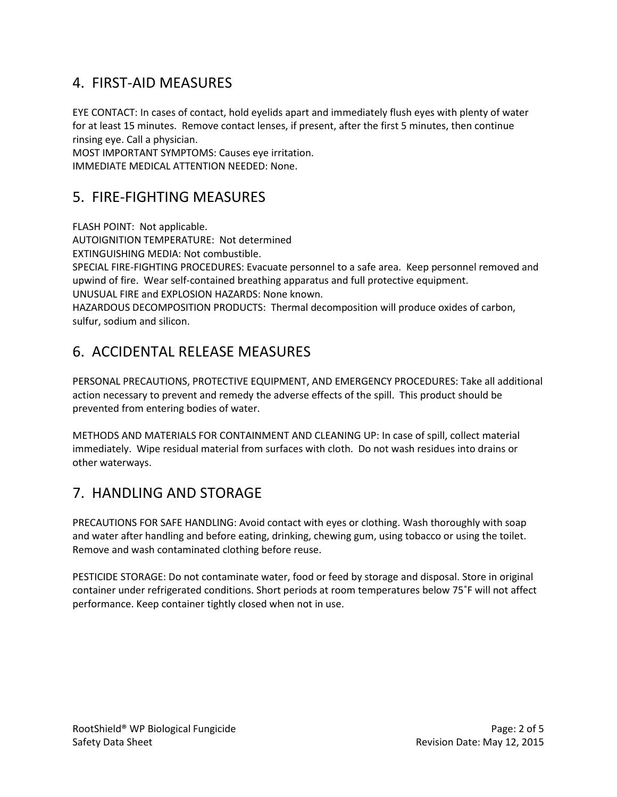# 4. FIRST-AID MEASURES

EYE CONTACT: In cases of contact, hold eyelids apart and immediately flush eyes with plenty of water for at least 15 minutes. Remove contact lenses, if present, after the first 5 minutes, then continue rinsing eye. Call a physician.

MOST IMPORTANT SYMPTOMS: Causes eye irritation. IMMEDIATE MEDICAL ATTENTION NEEDED: None.

## 5. FIRE-FIGHTING MEASURES

FLASH POINT: Not applicable.

AUTOIGNITION TEMPERATURE: Not determined

EXTINGUISHING MEDIA: Not combustible.

SPECIAL FIRE-FIGHTING PROCEDURES: Evacuate personnel to a safe area. Keep personnel removed and upwind of fire. Wear self-contained breathing apparatus and full protective equipment.

UNUSUAL FIRE and EXPLOSION HAZARDS: None known.

HAZARDOUS DECOMPOSITION PRODUCTS: Thermal decomposition will produce oxides of carbon, sulfur, sodium and silicon.

# 6. ACCIDENTAL RELEASE MEASURES

PERSONAL PRECAUTIONS, PROTECTIVE EQUIPMENT, AND EMERGENCY PROCEDURES: Take all additional action necessary to prevent and remedy the adverse effects of the spill. This product should be prevented from entering bodies of water.

METHODS AND MATERIALS FOR CONTAINMENT AND CLEANING UP: In case of spill, collect material immediately. Wipe residual material from surfaces with cloth. Do not wash residues into drains or other waterways.

# 7. HANDLING AND STORAGE

PRECAUTIONS FOR SAFE HANDLING: Avoid contact with eyes or clothing. Wash thoroughly with soap and water after handling and before eating, drinking, chewing gum, using tobacco or using the toilet. Remove and wash contaminated clothing before reuse.

PESTICIDE STORAGE: Do not contaminate water, food or feed by storage and disposal. Store in original container under refrigerated conditions. Short periods at room temperatures below 75˚F will not affect performance. Keep container tightly closed when not in use.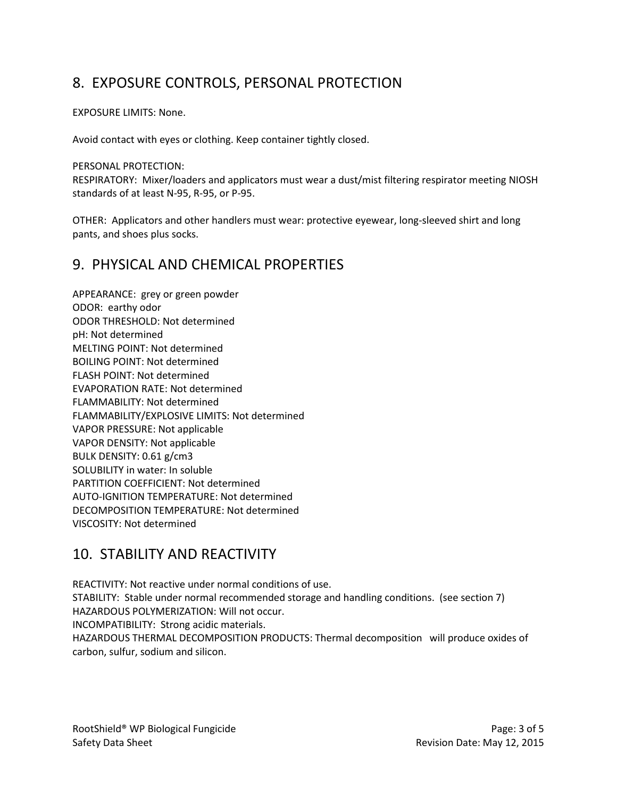# 8. EXPOSURE CONTROLS, PERSONAL PROTECTION

#### EXPOSURE LIMITS: None.

Avoid contact with eyes or clothing. Keep container tightly closed.

#### PERSONAL PROTECTION:

RESPIRATORY: Mixer/loaders and applicators must wear a dust/mist filtering respirator meeting NIOSH standards of at least N-95, R-95, or P-95.

OTHER: Applicators and other handlers must wear: protective eyewear, long-sleeved shirt and long pants, and shoes plus socks.

### 9. PHYSICAL AND CHEMICAL PROPERTIES

APPEARANCE: grey or green powder ODOR: earthy odor ODOR THRESHOLD: Not determined pH: Not determined MELTING POINT: Not determined BOILING POINT: Not determined FLASH POINT: Not determined EVAPORATION RATE: Not determined FLAMMABILITY: Not determined FLAMMABILITY/EXPLOSIVE LIMITS: Not determined VAPOR PRESSURE: Not applicable VAPOR DENSITY: Not applicable BULK DENSITY: 0.61 g/cm3 SOLUBILITY in water: In soluble PARTITION COEFFICIENT: Not determined AUTO-IGNITION TEMPERATURE: Not determined DECOMPOSITION TEMPERATURE: Not determined VISCOSITY: Not determined

# 10. STABILITY AND REACTIVITY

REACTIVITY: Not reactive under normal conditions of use. STABILITY: Stable under normal recommended storage and handling conditions. (see section 7) HAZARDOUS POLYMERIZATION: Will not occur. INCOMPATIBILITY: Strong acidic materials. HAZARDOUS THERMAL DECOMPOSITION PRODUCTS: Thermal decomposition will produce oxides of carbon, sulfur, sodium and silicon.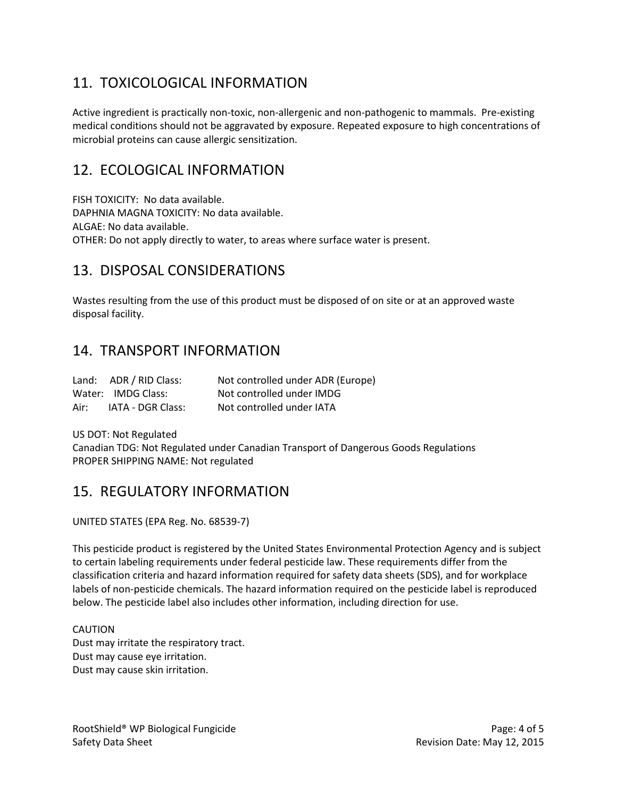# 11. TOXICOLOGICAL INFORMATION

Active ingredient is practically non-toxic, non-allergenic and non-pathogenic to mammals. Pre-existing medical conditions should not be aggravated by exposure. Repeated exposure to high concentrations of microbial proteins can cause allergic sensitization.

### 12. ECOLOGICAL INFORMATION

FISH TOXICITY: No data available. DAPHNIA MAGNA TOXICITY: No data available. ALGAE: No data available. OTHER: Do not apply directly to water, to areas where surface water is present.

## 13. DISPOSAL CONSIDERATIONS

Wastes resulting from the use of this product must be disposed of on site or at an approved waste disposal facility.

### 14. TRANSPORT INFORMATION

|      | Land: ADR / RID Class: | Not controlled under ADR (Europe) |
|------|------------------------|-----------------------------------|
|      | Water: IMDG Class:     | Not controlled under IMDG         |
| Air: | IATA - DGR Class:      | Not controlled under IATA         |

US DOT: Not Regulated Canadian TDG: Not Regulated under Canadian Transport of Dangerous Goods Regulations PROPER SHIPPING NAME: Not regulated

### 15. REGULATORY INFORMATION

UNITED STATES (EPA Reg. No. 68539-7)

This pesticide product is registered by the United States Environmental Protection Agency and is subject to certain labeling requirements under federal pesticide law. These requirements differ from the classification criteria and hazard information required for safety data sheets (SDS), and for workplace labels of non-pesticide chemicals. The hazard information required on the pesticide label is reproduced below. The pesticide label also includes other information, including direction for use.

#### CAUTION

Dust may irritate the respiratory tract. Dust may cause eye irritation. Dust may cause skin irritation.